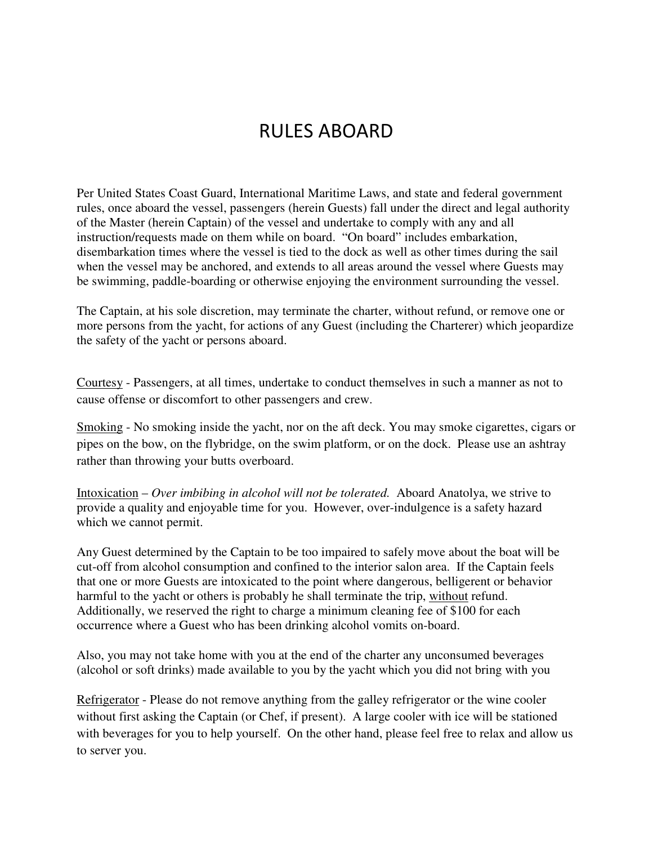## RULES ABOARD

Per United States Coast Guard, International Maritime Laws, and state and federal government rules, once aboard the vessel, passengers (herein Guests) fall under the direct and legal authority of the Master (herein Captain) of the vessel and undertake to comply with any and all instruction/requests made on them while on board. "On board" includes embarkation, disembarkation times where the vessel is tied to the dock as well as other times during the sail when the vessel may be anchored, and extends to all areas around the vessel where Guests may be swimming, paddle-boarding or otherwise enjoying the environment surrounding the vessel.

The Captain, at his sole discretion, may terminate the charter, without refund, or remove one or more persons from the yacht, for actions of any Guest (including the Charterer) which jeopardize the safety of the yacht or persons aboard.

Courtesy - Passengers, at all times, undertake to conduct themselves in such a manner as not to cause offense or discomfort to other passengers and crew.

Smoking - No smoking inside the yacht, nor on the aft deck. You may smoke cigarettes, cigars or pipes on the bow, on the flybridge, on the swim platform, or on the dock. Please use an ashtray rather than throwing your butts overboard.

Intoxication – *Over imbibing in alcohol will not be tolerated.* Aboard Anatolya, we strive to provide a quality and enjoyable time for you. However, over-indulgence is a safety hazard which we cannot permit.

Any Guest determined by the Captain to be too impaired to safely move about the boat will be cut-off from alcohol consumption and confined to the interior salon area. If the Captain feels that one or more Guests are intoxicated to the point where dangerous, belligerent or behavior harmful to the yacht or others is probably he shall terminate the trip, without refund. Additionally, we reserved the right to charge a minimum cleaning fee of \$100 for each occurrence where a Guest who has been drinking alcohol vomits on-board.

Also, you may not take home with you at the end of the charter any unconsumed beverages (alcohol or soft drinks) made available to you by the yacht which you did not bring with you

Refrigerator - Please do not remove anything from the galley refrigerator or the wine cooler without first asking the Captain (or Chef, if present). A large cooler with ice will be stationed with beverages for you to help yourself. On the other hand, please feel free to relax and allow us to server you.